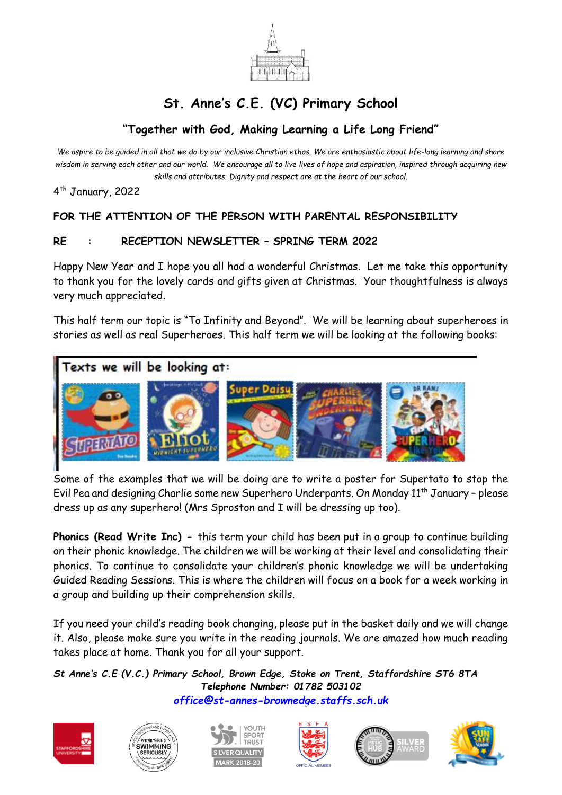

## **St. Anne's C.E. (VC) Primary School**

## **"Together with God, Making Learning a Life Long Friend"**

*We aspire to be guided in all that we do by our inclusive Christian ethos. We are enthusiastic about life-long learning and share wisdom in serving each other and our world. We encourage all to live lives of hope and aspiration, inspired through acquiring new skills and attributes. Dignity and respect are at the heart of our school.*

4 th January, 2022

## **FOR THE ATTENTION OF THE PERSON WITH PARENTAL RESPONSIBILITY**

## **RE : RECEPTION NEWSLETTER – SPRING TERM 2022**

Happy New Year and I hope you all had a wonderful Christmas. Let me take this opportunity to thank you for the lovely cards and gifts given at Christmas. Your thoughtfulness is always very much appreciated.

This half term our topic is "To Infinity and Beyond". We will be learning about superheroes in stories as well as real Superheroes. This half term we will be looking at the following books:





Some of the examples that we will be doing are to write a poster for Supertato to stop the Evil Pea and designing Charlie some new Superhero Underpants. On Monday 11<sup>th</sup> January - please dress up as any superhero! (Mrs Sproston and I will be dressing up too).

**Phonics (Read Write Inc) -** this term your child has been put in a group to continue building on their phonic knowledge. The children we will be working at their level and consolidating their phonics. To continue to consolidate your children's phonic knowledge we will be undertaking Guided Reading Sessions. This is where the children will focus on a book for a week working in a group and building up their comprehension skills.

If you need your child's reading book changing, please put in the basket daily and we will change it. Also, please make sure you write in the reading journals. We are amazed how much reading takes place at home. Thank you for all your support.

*St Anne's C.E (V.C.) Primary School, Brown Edge, Stoke on Trent, Staffordshire ST6 8TA Telephone Number: 01782 503102 [office@st-annes-brownedge.staffs.sch.uk](mailto:office@st-annes-brownedge.staffs.sch.uk)*